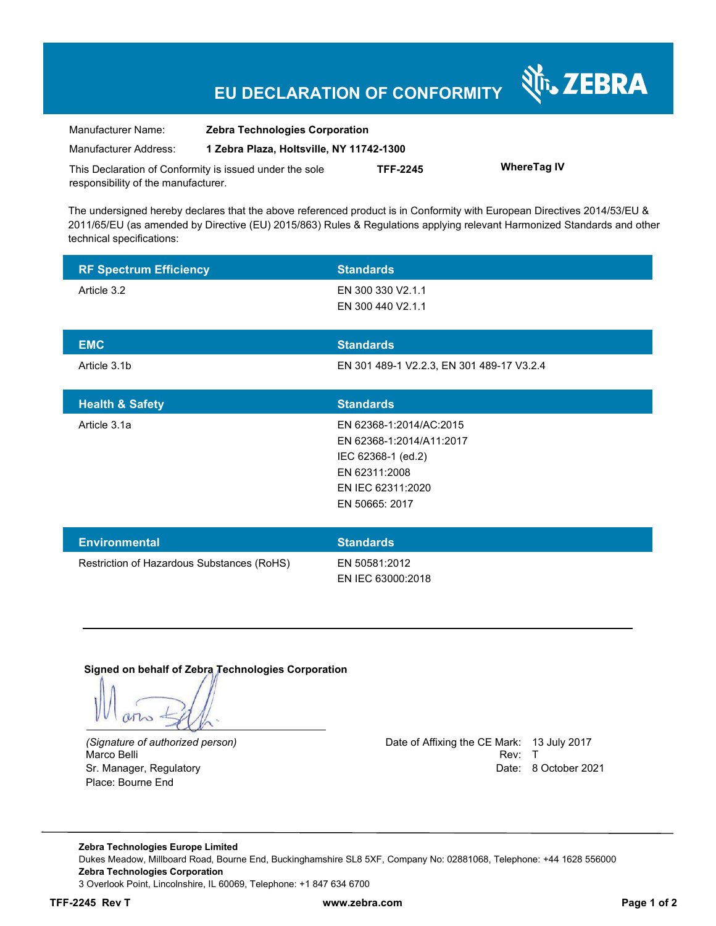## **EU DECLARATION OF CONFORMITY**

| Manufacturer Name:                                      | <b>Zebra Technologies Corporation</b>    |                 |                    |
|---------------------------------------------------------|------------------------------------------|-----------------|--------------------|
| Manufacturer Address:                                   | 1 Zebra Plaza, Holtsville, NY 11742-1300 |                 |                    |
| This Declaration of Conformity is issued under the sole |                                          | <b>TFF-2245</b> | <b>WhereTag IV</b> |
| responsibility of the manufacturer.                     |                                          |                 |                    |

The undersigned hereby declares that the above referenced product is in Conformity with European Directives 2014/53/EU & 2011/65/EU (as amended by Directive (EU) 2015/863) Rules & Regulations applying relevant Harmonized Standards and other technical specifications:

| <b>RF Spectrum Efficiency</b>              | <b>Standards</b>                          |
|--------------------------------------------|-------------------------------------------|
| Article 3.2                                | EN 300 330 V2.1.1                         |
|                                            | EN 300 440 V2.1.1                         |
| <b>EMC</b>                                 | <b>Standards</b>                          |
| Article 3.1b                               | EN 301 489-1 V2.2.3, EN 301 489-17 V3.2.4 |
|                                            |                                           |
| <b>Health &amp; Safety</b>                 | <b>Standards</b>                          |
| Article 3.1a                               | EN 62368-1:2014/AC:2015                   |
|                                            | EN 62368-1:2014/A11:2017                  |
|                                            | IEC 62368-1 (ed.2)                        |
|                                            | EN 62311:2008                             |
|                                            | EN IEC 62311:2020                         |
|                                            | EN 50665: 2017                            |
|                                            |                                           |
| <b>Environmental</b>                       | <b>Standards</b>                          |
| Restriction of Hazardous Substances (RoHS) | EN 50581:2012                             |
|                                            | EN IEC 63000:2018                         |

**Signed on behalf of Zebra Technologies Corporation** 

Place: Bourne End

*(Signature of authorized person)* Date of Affixing the CE Mark: 13 July 2017 Marco Belli Rev: The Contract of the Contract of the Contract of the Contract of the Contract of the Contract of the Contract of the Contract of the Contract of the Contract of the Contract of the Contract of the Contract Sr. Manager, Regulatory **Date: 8 October 2021** 

र्शे<sub>ं</sub> ZEBRA

**Zebra Technologies Europe Limited**  Dukes Meadow, Millboard Road, Bourne End, Buckinghamshire SL8 5XF, Company No: 02881068, Telephone: +44 1628 556000 **Zebra Technologies Corporation**  3 Overlook Point, Lincolnshire, IL 60069, Telephone: +1 847 634 6700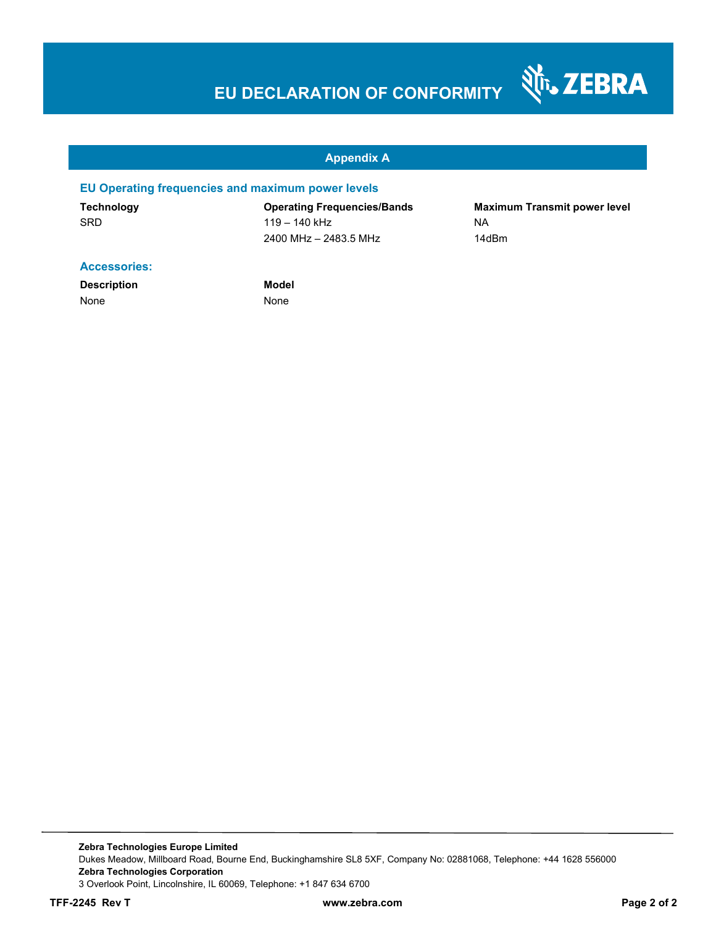# **EU DECLARATION OF CONFORMITY**

#### **Appendix A**

#### **EU Operating frequencies and maximum power levels**

SRD 119 – 140 kHz NA 2400 MHz – 2483.5 MHz 14dBm

**Technology Operating Frequencies/Bands Maximum Transmit power level** 

Nr. ZEBRA

#### **Accessories:**

**Description Model** None None